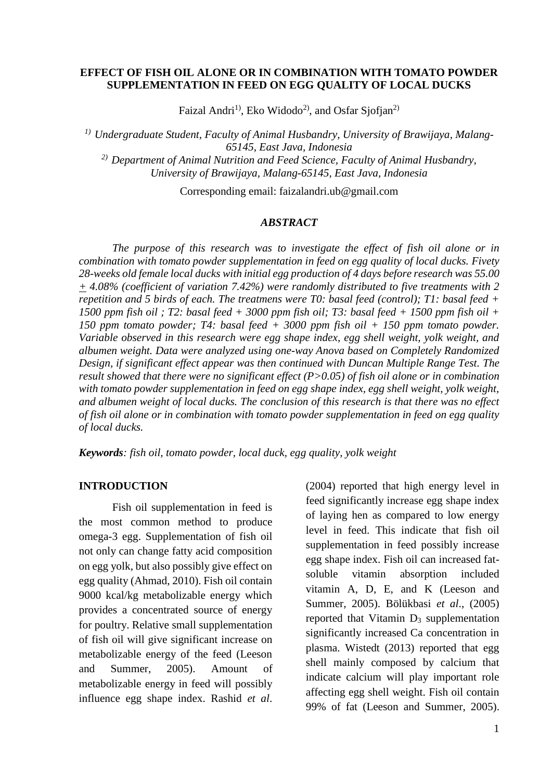#### **EFFECT OF FISH OIL ALONE OR IN COMBINATION WITH TOMATO POWDER SUPPLEMENTATION IN FEED ON EGG QUALITY OF LOCAL DUCKS**

Faizal Andri<sup>1)</sup>, Eko Widodo<sup>2)</sup>, and Osfar Siofian<sup>2)</sup>

*1) Undergraduate Student, Faculty of Animal Husbandry, University of Brawijaya, Malang-65145, East Java, Indonesia 2) Department of Animal Nutrition and Feed Science, Faculty of Animal Husbandry, University of Brawijaya, Malang-65145, East Java, Indonesia*

Corresponding email: faizalandri.ub@gmail.com

#### *ABSTRACT*

*The purpose of this research was to investigate the effect of fish oil alone or in combination with tomato powder supplementation in feed on egg quality of local ducks. Fivety 28-weeks old female local ducks with initial egg production of 4 days before research was 55.00 + 4.08% (coefficient of variation 7.42%) were randomly distributed to five treatments with 2 repetition and 5 birds of each. The treatmens were T0: basal feed (control); T1: basal feed + 1500 ppm fish oil ; T2: basal feed + 3000 ppm fish oil; T3: basal feed + 1500 ppm fish oil + 150 ppm tomato powder; T4: basal feed + 3000 ppm fish oil + 150 ppm tomato powder. Variable observed in this research were egg shape index, egg shell weight, yolk weight, and albumen weight. Data were analyzed using one-way Anova based on Completely Randomized Design, if significant effect appear was then continued with Duncan Multiple Range Test. The result showed that there were no significant effect (P>0.05) of fish oil alone or in combination with tomato powder supplementation in feed on egg shape index, egg shell weight, yolk weight, and albumen weight of local ducks. The conclusion of this research is that there was no effect of fish oil alone or in combination with tomato powder supplementation in feed on egg quality of local ducks.*

*Keywords: fish oil, tomato powder, local duck, egg quality, yolk weight*

#### **INTRODUCTION**

Fish oil supplementation in feed is the most common method to produce omega-3 egg. Supplementation of fish oil not only can change fatty acid composition on egg yolk, but also possibly give effect on egg quality (Ahmad, 2010). Fish oil contain 9000 kcal/kg metabolizable energy which provides a concentrated source of energy for poultry. Relative small supplementation of fish oil will give significant increase on metabolizable energy of the feed (Leeson and Summer, 2005). Amount of metabolizable energy in feed will possibly influence egg shape index. Rashid *et al*.

(2004) reported that high energy level in feed significantly increase egg shape index of laying hen as compared to low energy level in feed. This indicate that fish oil supplementation in feed possibly increase egg shape index. Fish oil can increased fatsoluble vitamin absorption included vitamin A, D, E, and K (Leeson and Summer, 2005). Bölükbasi *et al*., (2005) reported that Vitamin D<sup>3</sup> supplementation significantly increased Ca concentration in plasma. Wistedt (2013) reported that egg shell mainly composed by calcium that indicate calcium will play important role affecting egg shell weight. Fish oil contain 99% of fat (Leeson and Summer, 2005).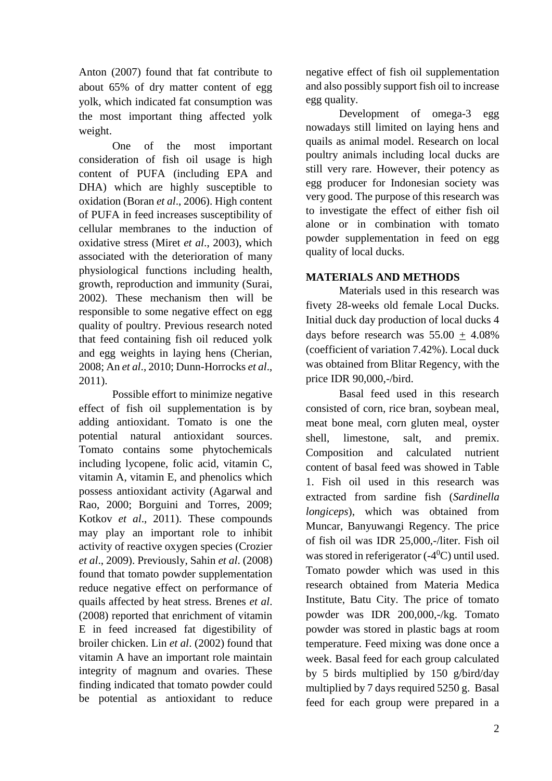Anton (2007) found that fat contribute to about 65% of dry matter content of egg yolk, which indicated fat consumption was the most important thing affected yolk weight.

One of the most important consideration of fish oil usage is high content of PUFA (including EPA and DHA) which are highly susceptible to oxidation (Boran *et al*., 2006). High content of PUFA in feed increases susceptibility of cellular membranes to the induction of oxidative stress (Miret *et al*., 2003), which associated with the deterioration of many physiological functions including health, growth, reproduction and immunity (Surai, 2002). These mechanism then will be responsible to some negative effect on egg quality of poultry. Previous research noted that feed containing fish oil reduced yolk and egg weights in laying hens (Cherian, 2008; An *et al*., 2010; Dunn-Horrocks *et al*., 2011).

Possible effort to minimize negative effect of fish oil supplementation is by adding antioxidant. Tomato is one the potential natural antioxidant sources. Tomato contains some phytochemicals including lycopene, folic acid, vitamin C, vitamin A, vitamin E, and phenolics which possess antioxidant activity (Agarwal and Rao, 2000; Borguini and Torres, 2009; Kotkov *et al*., 2011). These compounds may play an important role to inhibit activity of reactive oxygen species (Crozier *et al*., 2009). Previously, Sahin *et al*. (2008) found that tomato powder supplementation reduce negative effect on performance of quails affected by heat stress. Brenes *et al*. (2008) reported that enrichment of vitamin E in feed increased fat digestibility of broiler chicken. Lin *et al*. (2002) found that vitamin A have an important role maintain integrity of magnum and ovaries. These finding indicated that tomato powder could be potential as antioxidant to reduce

negative effect of fish oil supplementation and also possibly support fish oil to increase egg quality.

Development of omega-3 egg nowadays still limited on laying hens and quails as animal model. Research on local poultry animals including local ducks are still very rare. However, their potency as egg producer for Indonesian society was very good. The purpose of this research was to investigate the effect of either fish oil alone or in combination with tomato powder supplementation in feed on egg quality of local ducks.

## **MATERIALS AND METHODS**

Materials used in this research was fivety 28-weeks old female Local Ducks. Initial duck day production of local ducks 4 days before research was 55.00 + 4.08% (coefficient of variation 7.42%). Local duck was obtained from Blitar Regency, with the price IDR 90,000,-/bird.

Basal feed used in this research consisted of corn, rice bran, soybean meal, meat bone meal, corn gluten meal, oyster shell, limestone, salt, and premix. Composition and calculated nutrient content of basal feed was showed in Table 1. Fish oil used in this research was extracted from sardine fish (*Sardinella longiceps*), which was obtained from Muncar, Banyuwangi Regency. The price of fish oil was IDR 25,000,-/liter. Fish oil was stored in referigerator  $(-4^0C)$  until used. Tomato powder which was used in this research obtained from Materia Medica Institute, Batu City. The price of tomato powder was IDR 200,000,-/kg. Tomato powder was stored in plastic bags at room temperature. Feed mixing was done once a week. Basal feed for each group calculated by 5 birds multiplied by 150 g/bird/day multiplied by 7 days required 5250 g. Basal feed for each group were prepared in a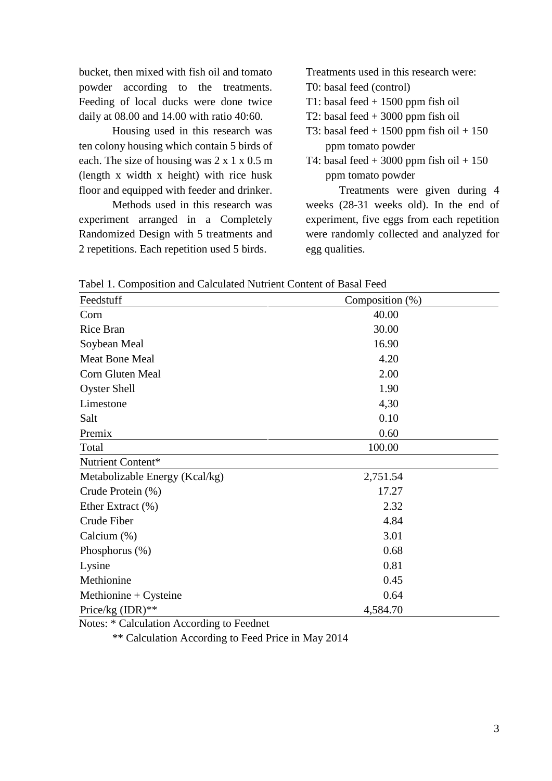bucket, then mixed with fish oil and tomato powder according to the treatments. Feeding of local ducks were done twice daily at 08.00 and 14.00 with ratio 40:60.

Housing used in this research was ten colony housing which contain 5 birds of each. The size of housing was 2 x 1 x 0.5 m (length x width x height) with rice husk floor and equipped with feeder and drinker.

Methods used in this research was experiment arranged in a Completely Randomized Design with 5 treatments and 2 repetitions. Each repetition used 5 birds.

Treatments used in this research were:

- T0: basal feed (control)
- T1: basal feed  $+1500$  ppm fish oil
- T2: basal feed + 3000 ppm fish oil
- T3: basal feed  $+ 1500$  ppm fish oil  $+ 150$ ppm tomato powder
- T4: basal feed  $+3000$  ppm fish oil  $+150$ ppm tomato powder

Treatments were given during 4 weeks (28-31 weeks old). In the end of experiment, five eggs from each repetition were randomly collected and analyzed for egg qualities.

Tabel 1. Composition and Calculated Nutrient Content of Basal Feed

| Feedstuff                      | Composition (%) |  |  |
|--------------------------------|-----------------|--|--|
| Corn                           | 40.00           |  |  |
| Rice Bran                      | 30.00           |  |  |
| Soybean Meal                   | 16.90           |  |  |
| <b>Meat Bone Meal</b>          | 4.20            |  |  |
| Corn Gluten Meal               | 2.00            |  |  |
| <b>Oyster Shell</b>            | 1.90            |  |  |
| Limestone                      | 4,30            |  |  |
| Salt                           | 0.10            |  |  |
| Premix                         | 0.60            |  |  |
| Total                          | 100.00          |  |  |
| Nutrient Content*              |                 |  |  |
| Metabolizable Energy (Kcal/kg) | 2,751.54        |  |  |
| Crude Protein (%)              | 17.27           |  |  |
| Ether Extract (%)              | 2.32            |  |  |
| Crude Fiber                    | 4.84            |  |  |
| Calcium $(\%)$                 | 3.01            |  |  |
| Phosphorus $(\%)$              | 0.68            |  |  |
| Lysine                         | 0.81            |  |  |
| Methionine                     | 0.45            |  |  |
| Methionine + $C$ ysteine       | 0.64            |  |  |
| Price/kg (IDR)**               | 4,584.70        |  |  |

Notes: \* Calculation According to Feednet

\*\* Calculation According to Feed Price in May 2014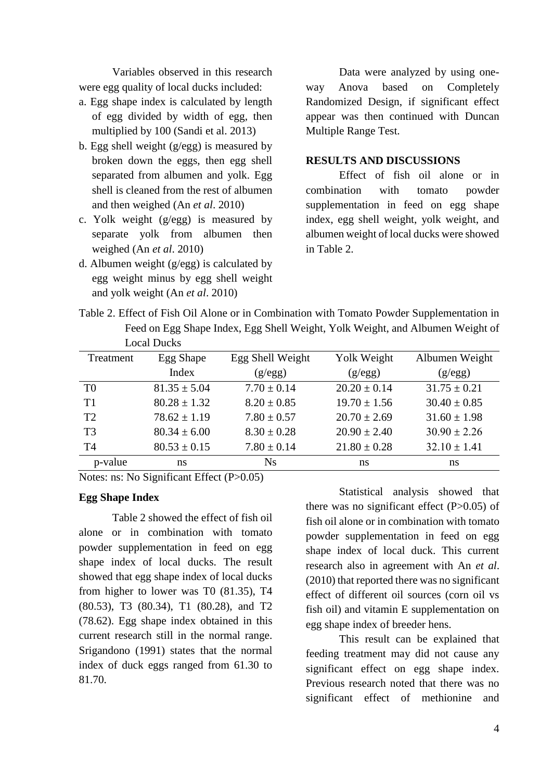Variables observed in this research were egg quality of local ducks included:

- a. Egg shape index is calculated by length of egg divided by width of egg, then multiplied by 100 (Sandi et al. 2013)
- b. Egg shell weight (g/egg) is measured by broken down the eggs, then egg shell separated from albumen and yolk. Egg shell is cleaned from the rest of albumen and then weighed (An *et al*. 2010)
- c. Yolk weight (g/egg) is measured by separate yolk from albumen then weighed (An *et al*. 2010)
- d. Albumen weight (g/egg) is calculated by egg weight minus by egg shell weight and yolk weight (An *et al*. 2010)

Data were analyzed by using oneway Anova based on Completely Randomized Design, if significant effect appear was then continued with Duncan Multiple Range Test.

#### **RESULTS AND DISCUSSIONS**

Effect of fish oil alone or in combination with tomato powder supplementation in feed on egg shape index, egg shell weight, yolk weight, and albumen weight of local ducks were showed in Table 2.

Table 2. Effect of Fish Oil Alone or in Combination with Tomato Powder Supplementation in Feed on Egg Shape Index, Egg Shell Weight, Yolk Weight, and Albumen Weight of Local Ducks

| Treatment      | Egg Shape        | Egg Shell Weight | Yolk Weight      | Albumen Weight   |
|----------------|------------------|------------------|------------------|------------------|
|                | Index            | (g/egg)          | (g/egg)          | (g/egg)          |
| T <sub>0</sub> | $81.35 \pm 5.04$ | $7.70 \pm 0.14$  | $20.20 \pm 0.14$ | $31.75 \pm 0.21$ |
| T1             | $80.28 \pm 1.32$ | $8.20 \pm 0.85$  | $19.70 \pm 1.56$ | $30.40 \pm 0.85$ |
| T <sub>2</sub> | $78.62 \pm 1.19$ | $7.80 \pm 0.57$  | $20.70 \pm 2.69$ | $31.60 \pm 1.98$ |
| T3             | $80.34 \pm 6.00$ | $8.30 \pm 0.28$  | $20.90 \pm 2.40$ | $30.90 \pm 2.26$ |
| <b>T4</b>      | $80.53 \pm 0.15$ | $7.80 \pm 0.14$  | $21.80 \pm 0.28$ | $32.10 \pm 1.41$ |
| p-value        | ns               | <b>Ns</b>        | ns               | ns               |

Notes: ns: No Significant Effect (P>0.05)

## **Egg Shape Index**

Table 2 showed the effect of fish oil alone or in combination with tomato powder supplementation in feed on egg shape index of local ducks. The result showed that egg shape index of local ducks from higher to lower was T0 (81.35), T4 (80.53), T3 (80.34), T1 (80.28), and T2 (78.62). Egg shape index obtained in this current research still in the normal range. Srigandono (1991) states that the normal index of duck eggs ranged from 61.30 to 81.70.

Statistical analysis showed that there was no significant effect  $(P>0.05)$  of fish oil alone or in combination with tomato powder supplementation in feed on egg shape index of local duck. This current research also in agreement with An *et al*. (2010) that reported there was no significant effect of different oil sources (corn oil vs fish oil) and vitamin E supplementation on egg shape index of breeder hens.

This result can be explained that feeding treatment may did not cause any significant effect on egg shape index. Previous research noted that there was no significant effect of methionine and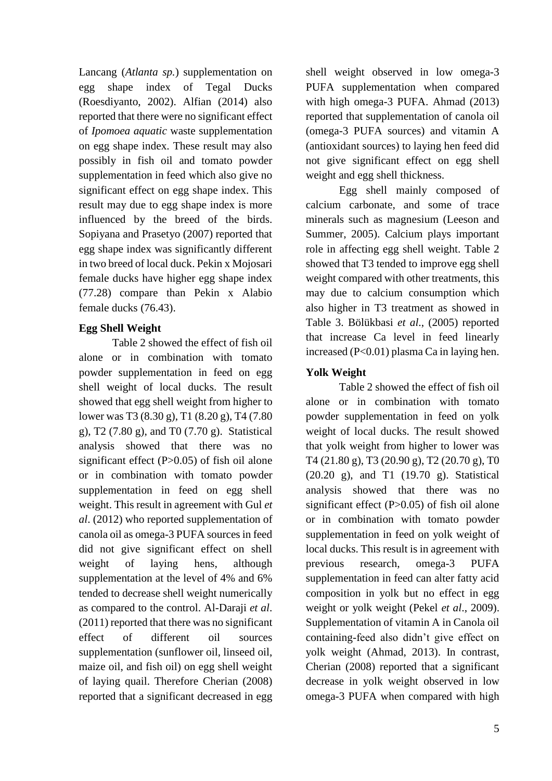Lancang (*Atlanta sp.*) supplementation on egg shape index of Tegal Ducks (Roesdiyanto, 2002). Alfian (2014) also reported that there were no significant effect of *Ipomoea aquatic* waste supplementation on egg shape index. These result may also possibly in fish oil and tomato powder supplementation in feed which also give no significant effect on egg shape index. This result may due to egg shape index is more influenced by the breed of the birds. Sopiyana and Prasetyo (2007) reported that egg shape index was significantly different in two breed of local duck. Pekin x Mojosari female ducks have higher egg shape index (77.28) compare than Pekin x Alabio female ducks (76.43).

## **Egg Shell Weight**

Table 2 showed the effect of fish oil alone or in combination with tomato powder supplementation in feed on egg shell weight of local ducks. The result showed that egg shell weight from higher to lower was T3 (8.30 g), T1 (8.20 g), T4 (7.80 g), T2 (7.80 g), and T0 (7.70 g). Statistical analysis showed that there was no significant effect  $(P>0.05)$  of fish oil alone or in combination with tomato powder supplementation in feed on egg shell weight. This result in agreement with Gul *et al*. (2012) who reported supplementation of canola oil as omega-3 PUFA sources in feed did not give significant effect on shell weight of laying hens, although supplementation at the level of 4% and 6% tended to decrease shell weight numerically as compared to the control. Al-Daraji *et al*. (2011) reported that there was no significant effect of different oil sources supplementation (sunflower oil, linseed oil, maize oil, and fish oil) on egg shell weight of laying quail. Therefore Cherian (2008) reported that a significant decreased in egg

shell weight observed in low omega-3 PUFA supplementation when compared with high omega-3 PUFA. Ahmad (2013) reported that supplementation of canola oil (omega-3 PUFA sources) and vitamin A (antioxidant sources) to laying hen feed did not give significant effect on egg shell weight and egg shell thickness.

Egg shell mainly composed of calcium carbonate, and some of trace minerals such as magnesium (Leeson and Summer, 2005). Calcium plays important role in affecting egg shell weight. Table 2 showed that T3 tended to improve egg shell weight compared with other treatments, this may due to calcium consumption which also higher in T3 treatment as showed in Table 3. Bölükbasi *et al*., (2005) reported that increase Ca level in feed linearly increased  $(P<0.01)$  plasma Ca in laying hen.

# **Yolk Weight**

Table 2 showed the effect of fish oil alone or in combination with tomato powder supplementation in feed on yolk weight of local ducks. The result showed that yolk weight from higher to lower was T4 (21.80 g), T3 (20.90 g), T2 (20.70 g), T0 (20.20 g), and T1 (19.70 g). Statistical analysis showed that there was no significant effect  $(P>0.05)$  of fish oil alone or in combination with tomato powder supplementation in feed on yolk weight of local ducks. This result is in agreement with previous research, omega-3 PUFA supplementation in feed can alter fatty acid composition in yolk but no effect in egg weight or yolk weight (Pekel *et al*., 2009). Supplementation of vitamin A in Canola oil containing-feed also didn't give effect on yolk weight (Ahmad, 2013). In contrast, Cherian (2008) reported that a significant decrease in yolk weight observed in low omega-3 PUFA when compared with high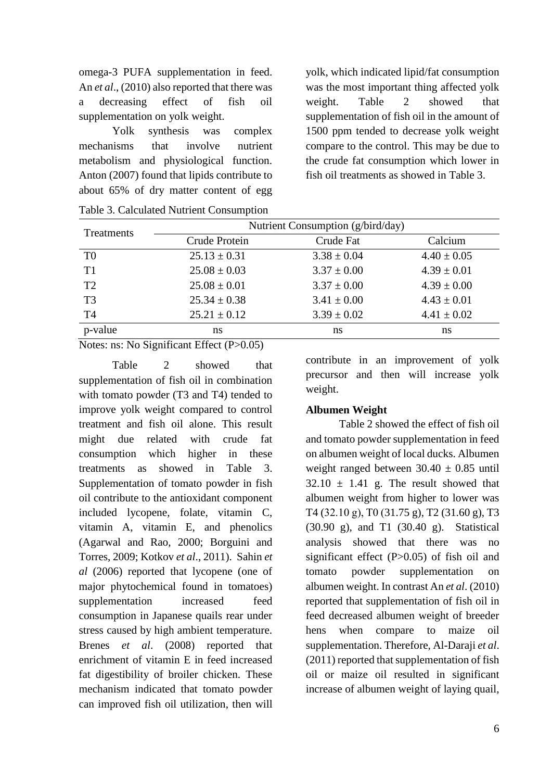omega-3 PUFA supplementation in feed. An *et al*., (2010) also reported that there was a decreasing effect of fish oil supplementation on yolk weight.

Yolk synthesis was complex mechanisms that involve nutrient metabolism and physiological function. Anton (2007) found that lipids contribute to about 65% of dry matter content of egg yolk, which indicated lipid/fat consumption was the most important thing affected yolk weight. Table 2 showed that supplementation of fish oil in the amount of 1500 ppm tended to decrease yolk weight compare to the control. This may be due to the crude fat consumption which lower in fish oil treatments as showed in Table 3.

| Treatments     | Nutrient Consumption (g/bird/day) |                 |                 |  |
|----------------|-----------------------------------|-----------------|-----------------|--|
|                | Crude Protein                     | Crude Fat       | Calcium         |  |
| T <sub>0</sub> | $25.13 \pm 0.31$                  | $3.38 \pm 0.04$ | $4.40 \pm 0.05$ |  |
| T <sub>1</sub> | $25.08 \pm 0.03$                  | $3.37 \pm 0.00$ | $4.39 \pm 0.01$ |  |
| T <sub>2</sub> | $25.08 \pm 0.01$                  | $3.37 \pm 0.00$ | $4.39 \pm 0.00$ |  |
| T <sub>3</sub> | $25.34 \pm 0.38$                  | $3.41 \pm 0.00$ | $4.43 \pm 0.01$ |  |
| T <sub>4</sub> | $25.21 \pm 0.12$                  | $3.39 \pm 0.02$ | $4.41 \pm 0.02$ |  |
| p-value        | ns                                | ns              | ns              |  |

Table 3. Calculated Nutrient Consumption

Notes: ns: No Significant Effect (P>0.05)

Table 2 showed that supplementation of fish oil in combination with tomato powder (T3 and T4) tended to improve yolk weight compared to control treatment and fish oil alone. This result might due related with crude fat consumption which higher in these treatments as showed in Table 3. Supplementation of tomato powder in fish oil contribute to the antioxidant component included lycopene, folate, vitamin C, vitamin A, vitamin E, and phenolics (Agarwal and Rao, 2000; Borguini and Torres, 2009; Kotkov *et al*., 2011). Sahin *et al* (2006) reported that lycopene (one of major phytochemical found in tomatoes) supplementation increased feed consumption in Japanese quails rear under stress caused by high ambient temperature. Brenes *et al*. (2008) reported that enrichment of vitamin E in feed increased fat digestibility of broiler chicken. These mechanism indicated that tomato powder can improved fish oil utilization, then will contribute in an improvement of yolk precursor and then will increase yolk weight.

### **Albumen Weight**

Table 2 showed the effect of fish oil and tomato powder supplementation in feed on albumen weight of local ducks. Albumen weight ranged between  $30.40 \pm 0.85$  until  $32.10 \pm 1.41$  g. The result showed that albumen weight from higher to lower was T4 (32.10 g), T0 (31.75 g), T2 (31.60 g), T3 (30.90 g), and T1 (30.40 g). Statistical analysis showed that there was no significant effect (P>0.05) of fish oil and tomato powder supplementation on albumen weight. In contrast An *et al*. (2010) reported that supplementation of fish oil in feed decreased albumen weight of breeder hens when compare to maize oil supplementation. Therefore, Al-Daraji *et al*. (2011) reported that supplementation of fish oil or maize oil resulted in significant increase of albumen weight of laying quail,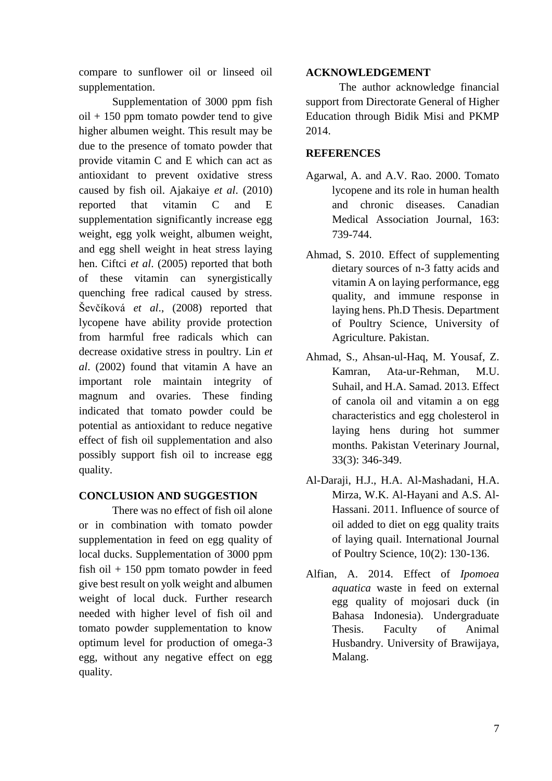compare to sunflower oil or linseed oil supplementation.

Supplementation of 3000 ppm fish oil + 150 ppm tomato powder tend to give higher albumen weight. This result may be due to the presence of tomato powder that provide vitamin C and E which can act as antioxidant to prevent oxidative stress caused by fish oil. Ajakaiye *et al*. (2010) reported that vitamin C and E supplementation significantly increase egg weight, egg yolk weight, albumen weight, and egg shell weight in heat stress laying hen. Ciftci *et al*. (2005) reported that both of these vitamin can synergistically quenching free radical caused by stress. Ševčíková *et al*., (2008) reported that lycopene have ability provide protection from harmful free radicals which can decrease oxidative stress in poultry. Lin *et al*. (2002) found that vitamin A have an important role maintain integrity of magnum and ovaries. These finding indicated that tomato powder could be potential as antioxidant to reduce negative effect of fish oil supplementation and also possibly support fish oil to increase egg quality.

## **CONCLUSION AND SUGGESTION**

There was no effect of fish oil alone or in combination with tomato powder supplementation in feed on egg quality of local ducks. Supplementation of 3000 ppm fish oil  $+150$  ppm tomato powder in feed give best result on yolk weight and albumen weight of local duck. Further research needed with higher level of fish oil and tomato powder supplementation to know optimum level for production of omega-3 egg, without any negative effect on egg quality.

### **ACKNOWLEDGEMENT**

The author acknowledge financial support from Directorate General of Higher Education through Bidik Misi and PKMP 2014.

## **REFERENCES**

- Agarwal, A. and A.V. Rao. 2000. Tomato lycopene and its role in human health and chronic diseases. Canadian Medical Association Journal, 163: 739-744.
- Ahmad, S. 2010. Effect of supplementing dietary sources of n-3 fatty acids and vitamin A on laying performance, egg quality, and immune response in laying hens. Ph.D Thesis. Department of Poultry Science, University of Agriculture. Pakistan.
- Ahmad, S., Ahsan-ul-Haq, M. Yousaf, Z. Kamran, Ata-ur-Rehman, M.U. Suhail, and H.A. Samad. 2013. Effect of canola oil and vitamin a on egg characteristics and egg cholesterol in laying hens during hot summer months. Pakistan Veterinary Journal, 33(3): 346-349.
- Al-Daraji, H.J., H.A. Al-Mashadani, H.A. Mirza, W.K. Al-Hayani and A.S. Al-Hassani. 2011. Influence of source of oil added to diet on egg quality traits of laying quail. International Journal of Poultry Science, 10(2): 130-136.
- Alfian, A. 2014. Effect of *Ipomoea aquatica* waste in feed on external egg quality of mojosari duck (in Bahasa Indonesia). Undergraduate Thesis. Faculty of Animal Husbandry. University of Brawijaya, Malang.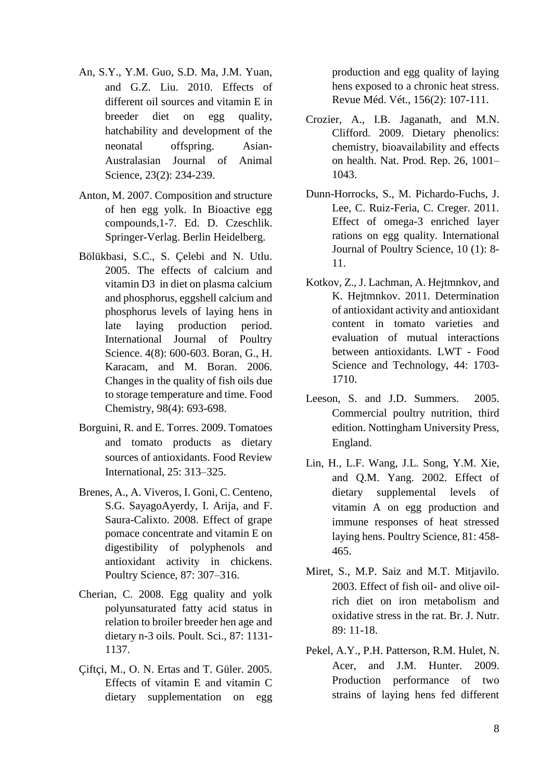- An, S.Y., Y.M. Guo, S.D. Ma, J.M. Yuan, and G.Z. Liu. 2010. Effects of different oil sources and vitamin E in breeder diet on egg quality, hatchability and development of the neonatal offspring. Asian-Australasian Journal of Animal Science, 23(2): 234-239.
- Anton, M. 2007. Composition and structure of hen egg yolk. In Bioactive egg compounds,1-7. Ed. D. Czeschlik. Springer-Verlag. Berlin Heidelberg.
- Bölükbasi, S.C., S. Çelebi and N. Utlu. 2005. The effects of calcium and vitamin D3 in diet on plasma calcium and phosphorus, eggshell calcium and phosphorus levels of laying hens in late laying production period. International Journal of Poultry Science. 4(8): 600-603. Boran, G., H. Karacam, and M. Boran. 2006. Changes in the quality of fish oils due to storage temperature and time. Food Chemistry, 98(4): 693-698.
- Borguini, R. and E. Torres. 2009. Tomatoes and tomato products as dietary sources of antioxidants. Food Review International, 25: 313–325.
- Brenes, A., A. Viveros, I. Goni, C. Centeno, S.G. SayagoAyerdy, I. Arija, and F. Saura-Calixto. 2008. Effect of grape pomace concentrate and vitamin E on digestibility of polyphenols and antioxidant activity in chickens. Poultry Science, 87: 307–316.
- Cherian, C. 2008. Egg quality and yolk polyunsaturated fatty acid status in relation to broiler breeder hen age and dietary n-3 oils. Poult. Sci., 87: 1131- 1137.
- Ciftci, M., O. N. Ertas and T. Güler. 2005. Effects of vitamin E and vitamin C dietary supplementation on egg

production and egg quality of laying hens exposed to a chronic heat stress. Revue Méd. Vét., 156(2): 107-111.

- Crozier, A., I.B. Jaganath, and M.N. Clifford. 2009. Dietary phenolics: chemistry, bioavailability and effects on health. Nat. Prod. Rep. 26, 1001– 1043.
- Dunn-Horrocks, S., M. Pichardo-Fuchs, J. Lee, C. Ruiz-Feria, C. Creger. 2011. Effect of omega-3 enriched layer rations on egg quality. International Journal of Poultry Science, 10 (1): 8- 11.
- Kotkov, Z., J. Lachman, A. Hejtmnkov, and K. Hejtmnkov. 2011. Determination of antioxidant activity and antioxidant content in tomato varieties and evaluation of mutual interactions between antioxidants. LWT - Food Science and Technology, 44: 1703- 1710.
- Leeson, S. and J.D. Summers. 2005. Commercial poultry nutrition, third edition. Nottingham University Press, England.
- Lin, H., L.F. Wang, J.L. Song, Y.M. Xie, and Q.M. Yang. 2002. Effect of dietary supplemental levels of vitamin A on egg production and immune responses of heat stressed laying hens. Poultry Science, 81: 458- 465.
- Miret, S., M.P. Saiz and M.T. Mitjavilo. 2003. Effect of fish oil- and olive oilrich diet on iron metabolism and oxidative stress in the rat. Br. J. Nutr. 89: 11-18.
- Pekel, A.Y., P.H. Patterson, R.M. Hulet, N. Acer, and J.M. Hunter. 2009. Production performance of two strains of laying hens fed different